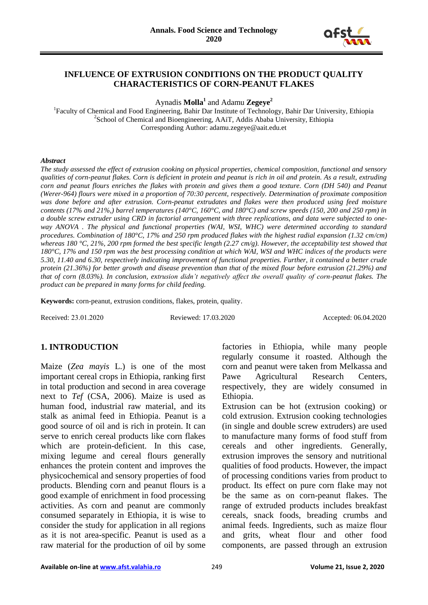

### **INFLUENCE OF EXTRUSION CONDITIONS ON THE PRODUCT QUALITY CHARACTERISTICS OF CORN-PEANUT FLAKES**

Aynadis **Molla<sup>1</sup>** and Adamu **Zegeye<sup>2</sup>**

<sup>1</sup>Faculty of Chemical and Food Engineering, Bahir Dar Institute of Technology, Bahir Dar University, Ethiopia <sup>2</sup>School of Chemical and Bioengineering, AAiT, Addis Ababa University, Ethiopia Corresponding Author: adamu.zegeye@aait.edu.et

#### *Abstract*

*The study assessed the effect of extrusion cooking on physical properties, chemical composition, functional and sensory qualities of corn-peanut flakes. Corn is deficient in protein and peanut is rich in oil and protein. As a result, extruding corn and peanut flours enriches the flakes with protein and gives them a good texture. Corn (DH 540) and Peanut (Werer-964) flours were mixed in a proportion of 70:30 percent, respectively. Determination of proximate composition*  was done before and after extrusion. Corn-peanut extrudates and flakes were then produced using feed moisture *contents (17% and 21%,) barrel temperatures (140°C, 160°C, and 180°C) and screw speeds (150, 200 and 250 rpm) in a double screw extruder using CRD in factorial arrangement with three replications, and data were subjected to oneway ANOVA . The physical and functional properties (WAI, WSI, WHC) were determined according to standard procedures. Combination of 180°C, 17% and 250 rpm produced flakes with the highest radial expansion (1.32 cm/cm) whereas 180 °C, 21%, 200 rpm formed the best specific length (2.27 cm/g). However, the acceptability test showed that 180°C, 17% and 150 rpm was the best processing condition at which WAI, WSI and WHC indices of the products were 5.30, 11.40 and 6.30, respectively indicating improvement of functional properties. Further, it contained a better crude protein (21.36%) for better growth and disease prevention than that of the mixed flour before extrusion (21.29%) and that of corn (8.03%). In conclusion, extrusion didn't negatively affect the overall quality of corn-peanut flakes. The product can be prepared in many forms for child feeding.*

**Keywords:** corn-peanut, extrusion conditions, flakes, protein, quality.

Received: 23.01.2020 Reviewed: 17.03.2020 Accepted: 06.04.2020

### **1. INTRODUCTION**

Maize (*Zea mayis* L.) is one of the most important cereal crops in Ethiopia, ranking first in total production and second in area coverage next to *Tef* (CSA, 2006). Maize is used as human food, industrial raw material, and its stalk as animal feed in Ethiopia. Peanut is a good source of oil and is rich in protein. It can serve to enrich cereal products like corn flakes which are protein-deficient. In this case, mixing legume and cereal flours generally enhances the protein content and improves the physicochemical and sensory properties of food products. Blending corn and peanut flours is a good example of enrichment in food processing activities. As corn and peanut are commonly consumed separately in Ethiopia, it is wise to consider the study for application in all regions as it is not area-specific. Peanut is used as a raw material for the production of oil by some

factories in Ethiopia, while many people regularly consume it roasted. Although the corn and peanut were taken from Melkassa and Pawe Agricultural Research Centers, respectively, they are widely consumed in Ethiopia.

Extrusion can be hot (extrusion cooking) or cold extrusion. Extrusion cooking technologies (in single and double screw extruders) are used to manufacture many forms of food stuff from cereals and other ingredients. Generally, extrusion improves the sensory and nutritional qualities of food products. However, the impact of processing conditions varies from product to product. Its effect on pure corn flake may not be the same as on corn-peanut flakes. The range of extruded products includes breakfast cereals, snack foods, breading crumbs and animal feeds. Ingredients, such as maize flour and grits, wheat flour and other food components, are passed through an extrusion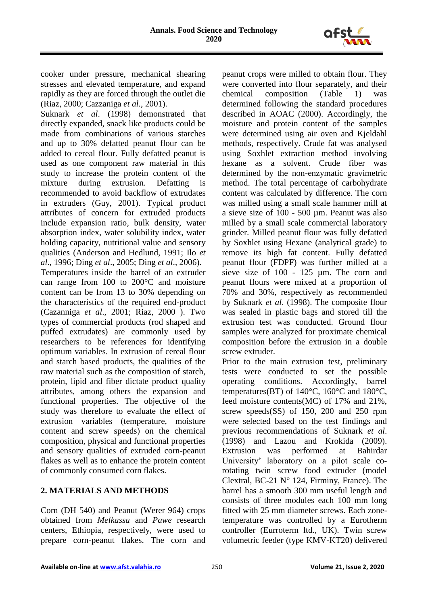

cooker under pressure, mechanical shearing stresses and elevated temperature, and expand rapidly as they are forced through the outlet die (Riaz, 2000; Cazzaniga *et al.*, 2001).

Suknark *et al*. (1998) demonstrated that directly expanded, snack like products could be made from combinations of various starches and up to 30% defatted peanut flour can be added to cereal flour. Fully defatted peanut is used as one component raw material in this study to increase the protein content of the mixture during extrusion. Defatting is recommended to avoid backflow of extrudates in extruders (Guy, 2001). Typical product attributes of concern for extruded products include expansion ratio, bulk density, water absorption index, water solubility index, water holding capacity, nutritional value and sensory qualities (Anderson and Hedlund, 1991; Ilo *et al*., 1996; Ding *et al*., 2005; Ding *et al*., 2006). Temperatures inside the barrel of an extruder can range from 100 to 200°C and moisture content can be from 13 to 30% depending on the characteristics of the required end-product (Cazanniga *et al*., 2001; Riaz, 2000 ). Two types of commercial products (rod shaped and puffed extrudates) are commonly used by researchers to be references for identifying optimum variables. In extrusion of cereal flour and starch based products, the qualities of the raw material such as the composition of starch, protein, lipid and fiber dictate product quality attributes, among others the expansion and functional properties. The objective of the study was therefore to evaluate the effect of extrusion variables (temperature, moisture content and screw speeds) on the chemical composition, physical and functional properties and sensory qualities of extruded corn-peanut flakes as well as to enhance the protein content of commonly consumed corn flakes.

# **2. MATERIALS AND METHODS**

Corn (DH 540) and Peanut (Werer 964) crops obtained from *Melkassa* and *Pawe* research centers, Ethiopia, respectively, were used to prepare corn-peanut flakes. The corn and peanut crops were milled to obtain flour. They were converted into flour separately, and their chemical composition (Table 1) was determined following the standard procedures described in AOAC (2000). Accordingly, the moisture and protein content of the samples were determined using air oven and Kjeldahl methods, respectively. Crude fat was analysed using Soxhlet extraction method involving hexane as a solvent. Crude fiber was determined by the non-enzymatic gravimetric method. The total percentage of carbohydrate content was calculated by difference. The corn was milled using a small scale hammer mill at a sieve size of 100 - 500 µm. Peanut was also milled by a small scale commercial laboratory grinder. Milled peanut flour was fully defatted by Soxhlet using Hexane (analytical grade) to remove its high fat content. Fully defatted peanut flour (FDPF) was further milled at a sieve size of 100 - 125  $\mu$ m. The corn and peanut flours were mixed at a proportion of 70% and 30%, respectively as recommended by Suknark *et al*. (1998). The composite flour was sealed in plastic bags and stored till the extrusion test was conducted. Ground flour samples were analyzed for proximate chemical composition before the extrusion in a double screw extruder.

Prior to the main extrusion test, preliminary tests were conducted to set the possible operating conditions. Accordingly, barrel temperatures(BT) of 140°C, 160°C and 180°C, feed moisture contents(MC) of 17% and 21%, screw speeds(SS) of 150, 200 and 250 rpm were selected based on the test findings and previous recommendations of Suknark *et al*. (1998) and Lazou and Krokida (2009). Extrusion was performed at Bahirdar University' laboratory on a pilot scale corotating twin screw food extruder (model Clextral, BC-21 N° 124, Firminy, France). The barrel has a smooth 300 mm useful length and consists of three modules each 100 mm long fitted with 25 mm diameter screws. Each zonetemperature was controlled by a Eurotherm controller (Eurroterm ltd., UK). Twin screw volumetric feeder (type KMV-KT20) delivered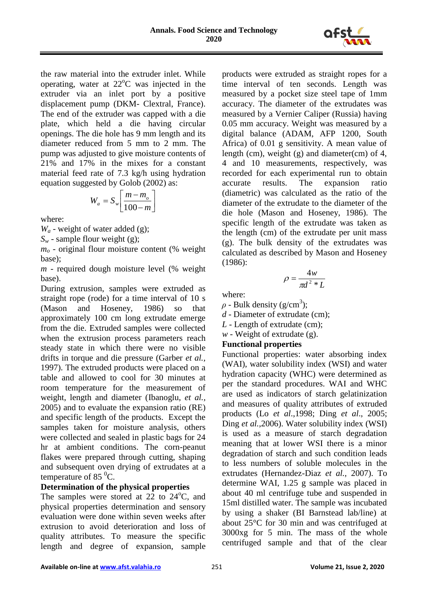

the raw material into the extruder inlet. While operating, water at  $22^{\circ}$ C was injected in the extruder via an inlet port by a positive displacement pump (DKM- Clextral, France). The end of the extruder was capped with a die plate, which held a die having circular openings. The die hole has 9 mm length and its diameter reduced from 5 mm to 2 mm. The pump was adjusted to give moisture contents of 21% and 17% in the mixes for a constant material feed rate of 7.3 kg/h using hydration equation suggested by Golob (2002) as:

$$
W_a = S_w \left[ \frac{m - m_o}{100 - m} \right]
$$

where:

*W<sup>a</sup>* - weight of water added (g);

*S<sup>w</sup>* - sample flour weight (g);

*m<sup>o</sup>* - original flour moisture content (% weight base);

*m* - required dough moisture level (% weight base).

During extrusion, samples were extruded as straight rope (rode) for a time interval of 10 s (Mason and Hoseney, 1986) so that approximately 100 cm long extrudate emerge from the die. Extruded samples were collected when the extrusion process parameters reach steady state in which there were no visible drifts in torque and die pressure (Garber *et al.,* 1997). The extruded products were placed on a table and allowed to cool for 30 minutes at room temperature for the measurement of weight, length and diameter (Ibanoglu, *et al.,* 2005) and to evaluate the expansion ratio (RE) and specific length of the products. Except the samples taken for moisture analysis, others were collected and sealed in plastic bags for 24 hr at ambient conditions. The corn-peanut flakes were prepared through cutting, shaping and subsequent oven drying of extrudates at a temperature of 85 $^{0}$ C.

# **Determination of the physical properties**

The samples were stored at 22 to  $24^{\circ}$ C, and physical properties determination and sensory evaluation were done within seven weeks after extrusion to avoid deterioration and loss of quality attributes. To measure the specific length and degree of expansion, sample products were extruded as straight ropes for a time interval of ten seconds. Length was measured by a pocket size steel tape of 1mm accuracy. The diameter of the extrudates was measured by a Vernier Caliper (Russia) having 0.05 mm accuracy. Weight was measured by a digital balance (ADAM, AFP 1200, South Africa) of 0.01 g sensitivity. A mean value of length (cm), weight (g) and diameter(cm) of 4, 4 and 10 measurements, respectively, was recorded for each experimental run to obtain accurate results. The expansion ratio (diametric) was calculated as the ratio of the diameter of the extrudate to the diameter of the die hole (Mason and Hoseney, 1986). The specific length of the extrudate was taken as the length (cm) of the extrudate per unit mass (g). The bulk density of the extrudates was calculated as described by Mason and Hoseney (1986):

$$
\rho = \frac{4w}{\pi d^2 * L}
$$

where:

 $\rho$  - Bulk density (g/cm<sup>3</sup>);

*d* - Diameter of extrudate (cm);

*L* - Length of extrudate (cm);

*w* - Weight of extrudate (g).

# **Functional properties**

Functional properties: water absorbing index (WAI), water solubility index (WSI) and water hydration capacity (WHC) were determined as per the standard procedures. WAI and WHC are used as indicators of starch gelatinization and measures of quality attributes of extruded products (Lo *et al*.,1998; Ding *et al*., 2005; Ding *et al.*,2006). Water solubility index (WSI) is used as a measure of starch degradation meaning that at lower WSI there is a minor degradation of starch and such condition leads to less numbers of soluble molecules in the extrudates (Hernandez-Diaz *et al.,* 2007). To determine WAI, 1.25 g sample was placed in about 40 ml centrifuge tube and suspended in 15ml distilled water. The sample was incubated by using a shaker (BI Barnstead lab/line) at about 25°C for 30 min and was centrifuged at 3000xg for 5 min. The mass of the whole centrifuged sample and that of the clear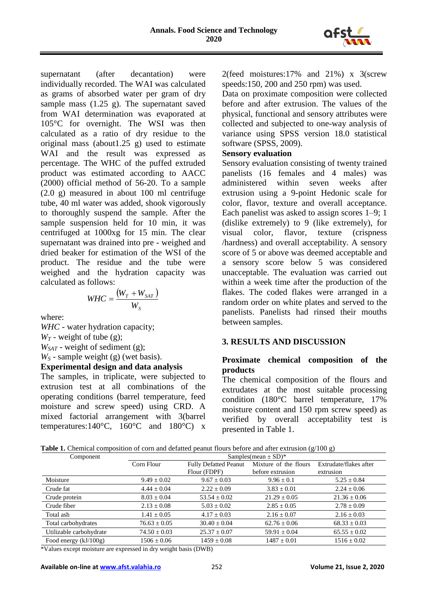

supernatant (after decantation) were individually recorded. The WAI was calculated as grams of absorbed water per gram of dry sample mass (1.25 g). The supernatant saved from WAI determination was evaporated at 105°C for overnight. The WSI was then calculated as a ratio of dry residue to the original mass (about1.25 g) used to estimate WAI and the result was expressed as percentage. The WHC of the puffed extruded product was estimated according to AACC (2000) official method of 56-20. To a sample (2.0 g) measured in about 100 ml centrifuge tube, 40 ml water was added, shook vigorously to thoroughly suspend the sample. After the sample suspension held for 10 min, it was centrifuged at 1000xg for 15 min. The clear supernatant was drained into pre - weighed and dried beaker for estimation of the WSI of the product. The residue and the tube were weighed and the hydration capacity was calculated as follows:

$$
WHC = \frac{(W_T + W_{SAT})}{W_S}
$$

where:

*WHC* - water hydration capacity;

 $W_T$  - weight of tube (g);

*WSAT* - weight of sediment (g);

*W<sup>S</sup>* - sample weight (g) (wet basis).

**Experimental design and data analysis**

The samples, in triplicate, were subjected to extrusion test at all combinations of the operating conditions (barrel temperature, feed moisture and screw speed) using CRD. A mixed factorial arrangement with 3(barrel temperatures: $140^{\circ}$ C,  $160^{\circ}$ C and  $180^{\circ}$ C) x 2(feed moistures:17% and 21%) x 3(screw speeds:150, 200 and 250 rpm) was used.

Data on proximate composition were collected before and after extrusion. The values of the physical, functional and sensory attributes were collected and subjected to one-way analysis of variance using SPSS version 18.0 statistical software (SPSS, 2009).

#### **Sensory evaluation**

Sensory evaluation consisting of twenty trained panelists (16 females and 4 males) was administered within seven weeks after extrusion using a 9-point Hedonic scale for color, flavor, texture and overall acceptance. Each panelist was asked to assign scores 1–9; 1 (dislike extremely) to 9 (like extremely), for visual color, flavor, texture (crispness /hardness) and overall acceptability. A sensory score of 5 or above was deemed acceptable and a sensory score below 5 was considered unacceptable. The evaluation was carried out within a week time after the production of the flakes. The coded flakes were arranged in a random order on white plates and served to the panelists. Panelists had rinsed their mouths between samples.

# **3. RESULTS AND DISCUSSION**

## **Proximate chemical composition of the products**

The chemical composition of the flours and extrudates at the most suitable processing condition (180°C barrel temperature, 17% moisture content and 150 rpm screw speed) as verified by overall acceptability test is presented in Table 1.

**Table 1.** Chemical composition of corn and defatted peanut flours before and after extrusion (g/100 g)

| Component               | Samples(mean $\pm$ SD) <sup>*</sup> |                              |                       |                        |  |  |  |  |  |  |
|-------------------------|-------------------------------------|------------------------------|-----------------------|------------------------|--|--|--|--|--|--|
|                         | Corn Flour                          | <b>Fully Defatted Peanut</b> | Mixture of the flours | Extrudate/flakes after |  |  |  |  |  |  |
|                         |                                     | Flour (FDPF)                 | before extrusion      | extrusion              |  |  |  |  |  |  |
| Moisture                | $9.49 \pm 0.02$                     | $9.67 \pm 0.03$              | $9.96 \pm 0.1$        | $5.25 \pm 0.84$        |  |  |  |  |  |  |
| Crude fat               | $4.44 \pm 0.04$                     | $2.22 \pm 0.09$              | $3.83 \pm 0.01$       | $2.24 \pm 0.06$        |  |  |  |  |  |  |
| Crude protein           | $8.03 \pm 0.04$                     | $53.54 \pm 0.02$             | $21.29 \pm 0.05$      | $21.36 \pm 0.06$       |  |  |  |  |  |  |
| Crude fiber             | $2.13 \pm 0.08$                     | $5.03 \pm 0.02$              | $2.85 \pm 0.05$       | $2.78 \pm 0.09$        |  |  |  |  |  |  |
| Total ash               | $1.41 \pm 0.05$                     | $4.17 \pm 0.03$              | $2.16 \pm 0.07$       | $2.16 \pm 0.03$        |  |  |  |  |  |  |
| Total carbohydrates     | $76.63 \pm 0.05$                    | $30.40 \pm 0.04$             | $62.76 \pm 0.06$      | $68.33 \pm 0.03$       |  |  |  |  |  |  |
| Utilizable carbohydrate | $74.50 \pm 0.03$                    | $25.37 \pm 0.07$             | $59.91 \pm 0.04$      | $65.55 \pm 0.02$       |  |  |  |  |  |  |
| Food energy (kJ/100g)   | $1506 + 0.06$                       | $1459 + 0.08$                | $1487 \pm 0.01$       | $1516 \pm 0.02$        |  |  |  |  |  |  |

\*Values except moisture are expressed in dry weight basis (DWB)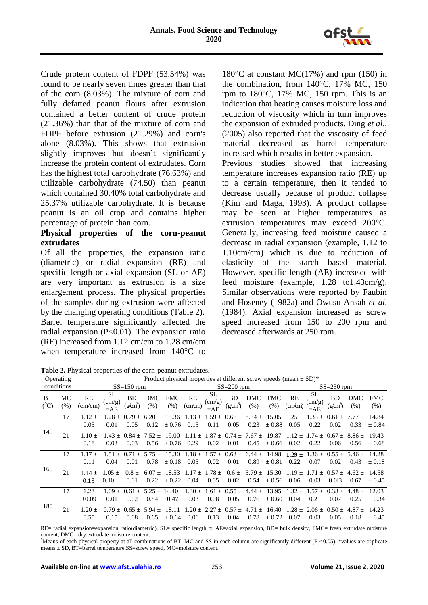

Crude protein content of FDPF (53.54%) was found to be nearly seven times greater than that of the corn (8.03%). The mixture of corn and fully defatted peanut flours after extrusion contained a better content of crude protein (21.36%) than that of the mixture of corn and FDPF before extrusion (21.29%) and corn's alone (8.03%). This shows that extrusion slightly improves but doesn't significantly increase the protein content of extrudates. Corn has the highest total carbohydrate (76.63%) and utilizable carbohydrate (74.50) than peanut which contained 30.40% total carbohydrate and 25.37% utilizable carbohydrate. It is because peanut is an oil crop and contains higher percentage of protein than corn.

## **Physical properties of the corn-peanut extrudates**

Of all the properties, the expansion ratio (diametric) or radial expansion (RE) and specific length or axial expansion (SL or AE) are very important as extrusion is a size enlargement process. The physical properties of the samples during extrusion were affected by the changing operating conditions (Table 2). Barrel temperature significantly affected the radial expansion (P<0.01). The expansion ratio (RE) increased from 1.12 cm/cm to 1.28 cm/cm when temperature increased from 140°C to

180 $\degree$ C at constant MC(17%) and rpm (150) in the combination, from 140°C, 17% MC, 150 rpm to  $180^{\circ}$ C,  $17\%$  MC,  $150$  rpm. This is an indication that heating causes moisture loss and reduction of viscosity which in turn improves the expansion of extruded products. Ding *et al*., (2005) also reported that the viscosity of feed material decreased as barrel temperature increased which results in better expansion.

Previous studies showed that increasing temperature increases expansion ratio (RE) up to a certain temperature, then it tended to decrease usually because of product collapse (Kim and Maga, 1993). A product collapse may be seen at higher temperatures as extrusion temperatures may exceed 200°C. Generally, increasing feed moisture caused a decrease in radial expansion (example, 1.12 to 1.10cm/cm) which is due to reduction of elasticity of the starch based material. However, specific length (AE) increased with feed moisture (example, 1.28 to1.43cm/g). Similar observations were reported by Faubin and Hoseney (1982a) and Owusu-Ansah *et al*. (1984). Axial expansion increased as screw speed increased from 150 to 200 rpm and decreased afterwards at 250 rpm.

**Table 2.** Physical properties of the corn-peanut extrudates.

|                      | Operating  |                               |                                |                                |                    |                     |                                                                                        | Product physical properties at different screw speeds (mean $\pm$ SD) <sup>*</sup> |                               |                                                    |                    |                                       |                                       |                                          |                    |                     |
|----------------------|------------|-------------------------------|--------------------------------|--------------------------------|--------------------|---------------------|----------------------------------------------------------------------------------------|------------------------------------------------------------------------------------|-------------------------------|----------------------------------------------------|--------------------|---------------------------------------|---------------------------------------|------------------------------------------|--------------------|---------------------|
|                      | conditions | $SS=150$ rpm                  |                                |                                |                    |                     | $SS = 200$ rpm                                                                         |                                                                                    |                               |                                                    |                    | $SS = 250$ rpm                        |                                       |                                          |                    |                     |
| <b>BT</b><br>$(^0C)$ | MC<br>(% ) | <b>RE</b><br>$\text{(cm/cm)}$ | SL<br>$\text{(cm/g)}$<br>$=AE$ | BD.<br>$(g\text{cm}^3)$        | DMC<br>(% )        | <b>FMC</b><br>(% )  | RE<br>(cm/cm)                                                                          | <b>SL</b><br>$\text{(cm/g)}$<br>$=AE$                                              | <b>BD</b><br>$(g\text{cm}^3)$ | DMC<br>(% )                                        | <b>FMC</b><br>(% ) | RE<br>$\text{(cm/cm)}$                | <b>SL</b><br>$\text{(cm/g)}$<br>$=AE$ | <b>BD</b><br>(g/cm <sup>3</sup> )        | DMC<br>(% )        | <b>FMC</b><br>(% )  |
|                      | 17         | $1.12 +$<br>0.05              | $1.28 +$<br>0.01               | $0.79 +$<br>0.05               | $6.20 \pm$<br>0.12 | 15.36<br>± 0.76     | 1.13<br>$+$<br>0.15                                                                    | $.59 \pm$<br>0.11                                                                  | 0.05                          | $0.66 \pm 8.34 \pm 0.06$<br>0.23                   | 15.05<br>$+0.88$   | 1.25<br>$\div$<br>0.05                | 1.35<br>$+$<br>0.22                   | $0.61 \pm$<br>0.02                       | $7.77 +$<br>0.33   | 14.84<br>$\pm 0.84$ |
| 140                  | 21         | $1.10 +$<br>0.18              | 0.03                           | $1.43 + 0.84 +$<br>0.03        | $7.52 +$<br>0.56   | 19.00<br>$\pm 0.76$ | 0.29                                                                                   | 0.02                                                                               | 0.01                          | $1.11 + 1.87 + 0.74 + 7.67 +$<br>0.45              | 19.87<br>$+0.66$   | $1.12 +$<br>0.02                      | $1.74 +$<br>0.22                      | $0.67 + 8.86 +$<br>0.06                  | 0.56               | 19.43<br>$+0.68$    |
|                      | 17         | $1.17 +$<br>0.11              | 0.04                           | 0.01                           | 0.78               | $+0.18$             | $1.51 \pm 0.71 \pm 5.75 \pm 15.30$ $1.18 \pm 1.57 \pm 0.63 \pm 6.44 \pm 14.98$<br>0.05 | 0.02                                                                               | 0.01                          | 0.89                                               | ± 0.81             | $1.29 \pm$<br>0.22                    | 0.07                                  | $1.36 \pm 0.55 \pm 5.46 \pm 1.5$<br>0.02 | 0.43               | 14.28<br>$+0.18$    |
| 160                  | 21         | $1.14 \pm$<br>0.13            | $1.05 +$<br>0.10               | $0.8 \pm$<br>0.01              | $6.07 +$<br>0.22   | 18.53<br>$+0.22$    | $1.17 \pm 1.78 \pm 1.78 \pm 1.12$<br>0.04                                              | 0.05                                                                               | $0.6 \pm$<br>0.02             | $5.79 \pm$<br>0.54                                 | 15.30<br>$+0.56$   | $1.19 \pm$<br>0.06                    | 0.03                                  | $1.71 \pm 0.57 \pm 0.57$<br>0.013        | $4.62 +$<br>0.67   | 14.58<br>$+0.45$    |
|                      | 17         | 1.28<br>$\pm 0.09$            | $1.09 +$<br>0.01               | 0.61<br>$+$<br>0.02            | $5.25 +$<br>0.84   | 14.40<br>$+0.47$    | $1.30 +$<br>0.03                                                                       | $1.61 \pm$<br>0.08                                                                 | $0.55 +$<br>0.05              | $4.44 +$<br>0.76                                   | 13.95<br>$+0.60$   | $1.32 +$<br>0.04                      | $1.57 +$<br>0.21                      | $0.38 +$<br>0.07                         | $4.48 \pm$<br>0.25 | 12.03<br>$+0.34$    |
| 180                  | 21         | $1.20 +$<br>0.55              | 0.15                           | $0.79 + 0.65 + 5.94 +$<br>0.08 | 0.65               | 18.11<br>$+0.64$    | 0.06                                                                                   | 0.13                                                                               | 0.04                          | $1.20 \pm 2.27 \pm 0.57 \pm 4.71 \pm 1.20$<br>0.78 | 16.40<br>$+0.72$   | $1.28 + 2.06 + 0.50 + 4.87 +$<br>0.07 | 0.03                                  | 0.05                                     | 0.18               | 14.23<br>$+0.45$    |

RE= radial expansion=expansion ratio(diametric), SL= specific length or AE=axial expansion, BD= bulk density, FMC= fresh extrudate moisture content, DMC =dry extrudate moisture content.

\*Means of each physical property at all combinations of BT, MC and SS in each column are significantly different (P <0.05), \*values are triplicate means ± SD, BT=barrel temperature,SS=screw speed, MC=moisture content.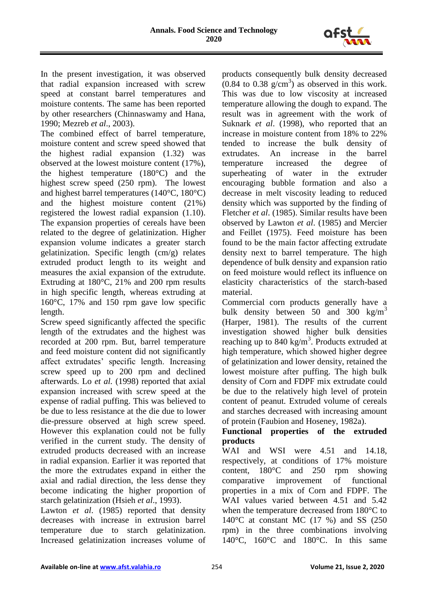

In the present investigation, it was observed that radial expansion increased with screw speed at constant barrel temperatures and moisture contents. The same has been reported by other researchers (Chinnaswamy and Hana, 1990; Mezreb *et al*., 2003).

The combined effect of barrel temperature, moisture content and screw speed showed that the highest radial expansion (1.32) was observed at the lowest moisture content (17%), the highest temperature (180°C) and the highest screw speed (250 rpm). The lowest and highest barrel temperatures (140°C, 180°C) and the highest moisture content (21%) registered the lowest radial expansion (1.10). The expansion properties of cereals have been related to the degree of gelatinization. Higher expansion volume indicates a greater starch gelatinization. Specific length (cm/g) relates extruded product length to its weight and measures the axial expansion of the extrudute. Extruding at 180°C, 21% and 200 rpm results in high specific length, whereas extruding at 160°C, 17% and 150 rpm gave low specific length.

Screw speed significantly affected the specific length of the extrudates and the highest was recorded at 200 rpm. But, barrel temperature and feed moisture content did not significantly affect extrudates' specific length. Increasing screw speed up to 200 rpm and declined afterwards. Lo *et al.* (1998) reported that axial expansion increased with screw speed at the expense of radial puffing. This was believed to be due to less resistance at the die due to lower die-pressure observed at high screw speed. However this explanation could not be fully verified in the current study. The density of extruded products decreased with an increase in radial expansion. Earlier it was reported that the more the extrudates expand in either the axial and radial direction, the less dense they become indicating the higher proportion of starch gelatinization (Hsieh *et al*., 1993).

Lawton *et al*. (1985) reported that density decreases with increase in extrusion barrel temperature due to starch gelatinization. Increased gelatinization increases volume of

products consequently bulk density decreased  $(0.84 \text{ to } 0.38 \text{ g/cm}^3)$  as observed in this work. This was due to low viscosity at increased temperature allowing the dough to expand. The result was in agreement with the work of Suknark *et al*. (1998), who reported that an increase in moisture content from 18% to 22% tended to increase the bulk density of extrudates. An increase in the barrel temperature increased the degree of superheating of water in the extruder encouraging bubble formation and also a decrease in melt viscosity leading to reduced density which was supported by the finding of Fletcher *et al*. (1985). Similar results have been observed by Lawton *et al*. (1985) and Mercier and Feillet (1975). Feed moisture has been found to be the main factor affecting extrudate density next to barrel temperature. The high dependence of bulk density and expansion ratio on feed moisture would reflect its influence on elasticity characteristics of the starch-based material.

Commercial corn products generally have a bulk density between 50 and 300  $\text{kg/m}^3$ (Harper, 1981). The results of the current investigation showed higher bulk densities reaching up to  $840 \text{ kg/m}^3$ . Products extruded at high temperature, which showed higher degree of gelatinization and lower density, retained the lowest moisture after puffing. The high bulk density of Corn and FDPF mix extrudate could be due to the relatively high level of protein content of peanut. Extruded volume of cereals and starches decreased with increasing amount of protein (Faubion and Hoseney, 1982a).

## **Functional properties of the extruded products**

WAI and WSI were 4.51 and 14.18, respectively, at conditions of 17% moisture content, 180°C and 250 rpm showing comparative improvement of functional properties in a mix of Corn and FDPF. The WAI values varied between 4.51 and 5.42 when the temperature decreased from 180°C to 140 $\degree$ C at constant MC (17 %) and SS (250 rpm) in the three combinations involving 140°C, 160°C and 180°C. In this same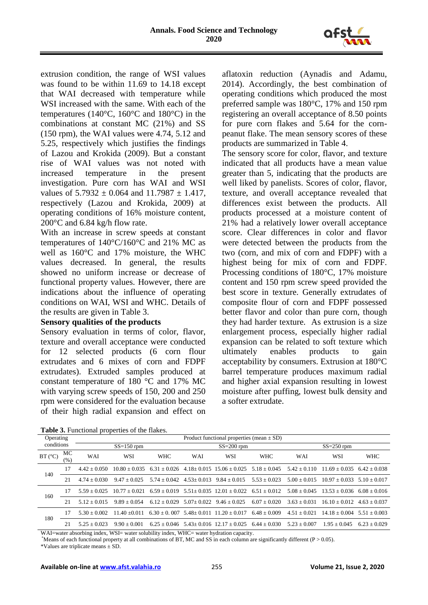

extrusion condition, the range of WSI values was found to be within 11.69 to 14.18 except that WAI decreased with temperature while WSI increased with the same. With each of the temperatures (140°C, 160°C and 180°C) in the combinations at constant MC (21%) and SS (150 rpm), the WAI values were 4.74, 5.12 and 5.25, respectively which justifies the findings of Lazou and Krokida (2009). But a constant rise of WAI values was not noted with increased temperature in the present investigation. Pure corn has WAI and WSI values of  $5.7932 \pm 0.064$  and  $11.7987 \pm 1.417$ , respectively (Lazou and Krokida, 2009) at operating conditions of 16% moisture content, 200°C and 6.84 kg/h flow rate.

With an increase in screw speeds at constant temperatures of 140°C/160°C and 21% MC as well as 160°C and 17% moisture, the WHC values decreased. In general, the results showed no uniform increase or decrease of functional property values. However, there are indications about the influence of operating conditions on WAI, WSI and WHC. Details of the results are given in Table 3.

### **Sensory qualities of the products**

Sensory evaluation in terms of color, flavor, texture and overall acceptance were conducted for 12 selected products (6 corn flour extrudates and 6 mixes of corn and FDPF extrudates). Extruded samples produced at constant temperature of 180 °C and 17% MC with varying screw speeds of 150, 200 and 250 rpm were considered for the evaluation because of their high radial expansion and effect on

aflatoxin reduction (Aynadis and Adamu, 2014). Accordingly, the best combination of operating conditions which produced the most preferred sample was 180°C, 17% and 150 rpm registering an overall acceptance of 8.50 points for pure corn flakes and 5.64 for the cornpeanut flake. The mean sensory scores of these products are summarized in Table 4.

The sensory score for color, flavor, and texture indicated that all products have a mean value greater than 5, indicating that the products are well liked by panelists. Scores of color, flavor, texture, and overall acceptance revealed that differences exist between the products. All products processed at a moisture content of 21% had a relatively lower overall acceptance score. Clear differences in color and flavor were detected between the products from the two (corn, and mix of corn and FDPF) with a highest being for mix of corn and FDPF. Processing conditions of 180°C, 17% moisture content and 150 rpm screw speed provided the best score in texture. Generally extrudates of composite flour of corn and FDPF possessed better flavor and color than pure corn, though they had harder texture. As extrusion is a size enlargement process, especially higher radial expansion can be related to soft texture which ultimately enables products to gain acceptability by consumers. Extrusion at 180°C barrel temperature produces maximum radial and higher axial expansion resulting in lowest moisture after puffing, lowest bulk density and a softer extrudate.

| Table 3. Functional properties of the flakes. |
|-----------------------------------------------|
|-----------------------------------------------|

| Operating  |           | Product functional properties (mean $\pm$ SD) |                 |                |              |                                                     |                  |                |                 |                |  |  |  |
|------------|-----------|-----------------------------------------------|-----------------|----------------|--------------|-----------------------------------------------------|------------------|----------------|-----------------|----------------|--|--|--|
| conditions |           |                                               | $SS=150$ rpm    |                |              | $SS=200$ rpm                                        |                  | $SS = 250$ rpm |                 |                |  |  |  |
| BT (°C)    | МC<br>(%) | WAI                                           | WSI             | <b>WHC</b>     | WAI          | WSI                                                 | <b>WHC</b>       | WAI            | WSI             | <b>WHC</b>     |  |  |  |
| 140        | 17        | $442 + 0.050$                                 | $10.80 + 0.035$ | $6.31 + 0.026$ |              | $4.18 + 0.015$ 15.06 + 0.025                        | $5.18 + 0.045$   | $5.42 + 0.110$ | $11.69 + 0.035$ | $6.42 + 0.038$ |  |  |  |
|            | 21        | $4.74 + 0.030$                                | $9.47 + 0.025$  | $5.74 + 0.042$ | $4.53+0.013$ | $9.84 + 0.015$                                      | $5.53 + 0.023$   | $5.00 + 0.015$ | $10.97 + 0.033$ | $5.10 + 0.017$ |  |  |  |
| 160        | 17        | $5.59 + 0.025$                                | $10.77 + 0.021$ | $6.59 + 0.019$ |              | $5.51 \pm 0.035$ $12.01 \pm 0.022$ $6.51 \pm 0.012$ |                  | $5.08 + 0.045$ | $13.53 + 0.036$ | $6.08 + 0.016$ |  |  |  |
|            | 21        | $5.12 + 0.015$                                | $9.89 + 0.054$  | $6.12 + 0.029$ | $5.07+0.022$ | $9.46 + 0.025$                                      | $6.07 + 0.020$   | $3.63 + 0.031$ | $16.10 + 0.012$ | $4.63 + 0.037$ |  |  |  |
|            | 17        | $5.30 + 0.002$                                | $11.40 + 0.011$ | $6.30 + 0.007$ |              | $5.48 + 0.011$ $11.20 + 0.017$                      | $6.48 + 0.009$   | $4.51 + 0.021$ | $14.18 + 0.004$ | $5.51 + 0.003$ |  |  |  |
| 180        | 21        | $5.25 + 0.023$                                | $9.90 + 0.001$  | $6.25 + 0.046$ |              | $5.43+0.016$ $12.17+0.025$                          | $6.44 \pm 0.030$ | $5.23 + 0.007$ | $1.95 + 0.045$  | $6.23 + 0.029$ |  |  |  |

WAI=water absorbing index, WSI= water solubility index, WHC= water hydration capacity.

\*Means of each functional property at all combinations of BT, MC and SS in each column are significantly different ( $P > 0.05$ ).

\*Values are triplicate means ± SD.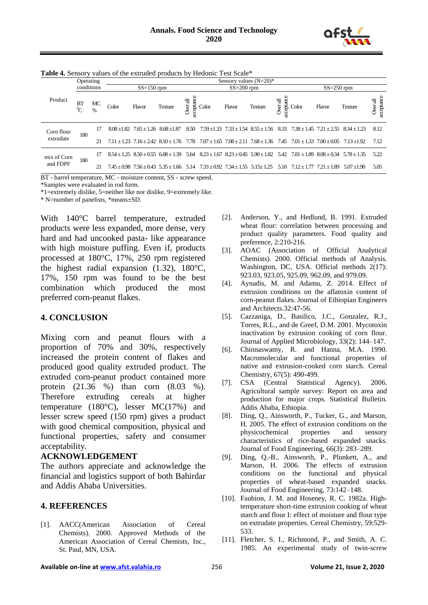

|             | Operating<br>conditions |                     | Sensory values $(N=20)$ * |                                           |                                                  |                            |                |        |                                                           |                                                                                                               |                   |                                 |                                                 |                       |      |
|-------------|-------------------------|---------------------|---------------------------|-------------------------------------------|--------------------------------------------------|----------------------------|----------------|--------|-----------------------------------------------------------|---------------------------------------------------------------------------------------------------------------|-------------------|---------------------------------|-------------------------------------------------|-----------------------|------|
| Product     |                         |                     | $SS=150$ rpm              |                                           |                                                  |                            | $SS = 200$ rpm |        |                                                           |                                                                                                               |                   | $SS = 250$ rpm                  |                                                 |                       |      |
|             | BT<br>$\rm ^0C$         | MC<br>$\frac{0}{0}$ | Color                     | Flavor                                    | <b>Texture</b>                                   | cceptance<br><b>verall</b> | Color          | Flavor | <b>Texture</b>                                            | $\nu$ er all                                                                                                  | $rac{8}{9}$ Color | Flavor                          | <b>Texture</b>                                  | aceptance<br>Over all |      |
| Corn flour  |                         | 17                  |                           | $8.08 + 1.82$ $7.65 + 1.26$ $8.68 + 1.87$ |                                                  | 8.50                       |                |        | $7.59 \pm 1.33$ $7.33 \pm 1.54$ $8.55 \pm 1.56$ $8.33$    |                                                                                                               |                   |                                 | $7.38 \pm 1.45$ $7.21 \pm 2.55$ $8.34 \pm 1.23$ | 8.12                  |      |
| extrudate   | 180                     | 21                  |                           |                                           | $7.11 + 1.23$ $7.16 + 2.42$ $8.10 + 1.76$ $7.78$ |                            |                |        | $7.07 \pm 1.65$ $7.08 \pm 2.11$ $7.68 \pm 1.36$           | 7.45                                                                                                          |                   | $7.01 \pm 1.33$ $7.00 \pm 0.05$ | $7.13 + 1.92$                                   | 7.12                  |      |
| mix of Corn |                         | 17                  |                           |                                           | $8.54 + 1.25$ $8.50 + 0.55$ $6.08 + 1.39$        |                            |                |        | 5.64 $8.23 \pm 1.67$ $8.23 \pm 0.45$ $5.90 \pm 1.82$ 5.42 |                                                                                                               |                   |                                 | $7.81 \pm 1.89$ $8.08 \pm 0.34$ $5.78 \pm 1.35$ | 5.22                  |      |
| and FDPF    |                         | 180                 | 21                        |                                           |                                                  |                            |                |        |                                                           | $7.45 \pm 0.98$ $7.56 \pm 0.43$ $5.35 \pm 1.66$ $5.14$ $7.33 \pm 0.92$ $7.34 \pm 1.55$ $5.15 \pm 1.25$ $5.10$ |                   |                                 | $7.12 + 1.77$ $7.21 + 1.89$                     | $5.07 + 1.90$         | 5.05 |

**Table 4.** Sensory values of the extruded products by Hedonic Test Scale\*

BT - barrel temperature, MC - moisture content, SS - screw speed.

\*Samples were evaluated in rod form.

\*1=extremely dislike, 5=neither like nor dislike, 9=extremely like.

\* N=number of panelists, \*means±SD.

With 140°C barrel temperature, extruded products were less expanded, more dense, very hard and had uncooked pasta- like appearance with high moisture puffing. Even if, products processed at 180°C, 17%, 250 rpm registered the highest radial expansion (1.32), 180°C, 17%, 150 rpm was found to be the best combination which produced the most preferred corn-peanut flakes.

#### **4. CONCLUSION**

Mixing corn and peanut flours with a proportion of 70% and 30%, respectively increased the protein content of flakes and produced good quality extruded product. The extruded corn-peanut product contained more protein (21.36 %) than corn (8.03 %). Therefore extruding cereals at higher temperature (180 $^{\circ}$ C), lesser MC(17%) and lesser screw speed (150 rpm) gives a product with good chemical composition, physical and functional properties, safety and consumer acceptability.

#### **ACKNOWLEDGEMENT**

The authors appreciate and acknowledge the financial and logistics support of both Bahirdar and Addis Ababa Universities.

#### **4. REFERENCES**

[1]. AACC(American Association of Cereal Chemists). 2000. Approved Methods of the American Association of Cereal Chemists, Inc., St. Paul, MN, USA.

- [2]. Anderson, Y., and Hedlund, B. 1991. Extruded wheat flour: correlation between processing and product quality parameters. Food quality and preference, 2:210-216.
- [3]. AOAC (Association of Official Analytical Chemists). 2000. Official methods of Analysis. Washington, DC, USA. Official methods 2(17): 923.03, 923.05, 925.09, 962.09, and 979.09.
- [4]. Aynadis, M. and Adamu, Z. 2014. Effect of extrusion conditions on the aflatoxin content of corn-peanut flakes. Journal of Ethiopian Engineers and Architects.32:47-56.
- [5]. Cazzaniga, D., Basilico, J.C., Gonzalez, R.J., Torres, R.L., and de Greef, D.M. 2001. Mycotoxin inactivation by extrusion cooking of corn flour. Journal of Applied Microbiology, 33(2): 144–147.
- [6]. Chinnaswamy, R. and Hanna, M.A. 1990. Macromolecular and functional properties of native and extrusion-cooked corn starch. Cereal Chemistry, 67(5): 490-499.
- [7]. CSA (Central Statistical Agency). 2006. Agricultural sample survey: Report on area and production for major crops. Statistical Bulletin. Addis Ababa, Ethiopia.
- [8]. Ding, Q., Ainsworth, P., Tucker, G., and Marson, H. 2005. The effect of extrusion conditions on the physicochemical properties and sensory physicochemical properties and sensory characteristics of rice-based expanded snacks. Journal of Food Engineering, 66(3): 283–289.
- [9]. Ding, Q.-B., Ainsworth, P., Plunkett, A., and Marson, H. 2006. The effects of extrusion conditions on the functional and physical properties of wheat-based expanded snacks. Journal of Food Engineering, 73:142–148.
- [10]. Faubion, J. M. and Hoseney, R. C. 1982a. Hightemperature short-time extrusion cooking of wheat starch and flour I: effect of moisture and flour type on extrudate properties. Cereal Chemistry, 59:529- 533.
- [11]. Fletcher, S. I., Richmond, P., and Smith, A. C. 1985. An experimental study of twin-screw